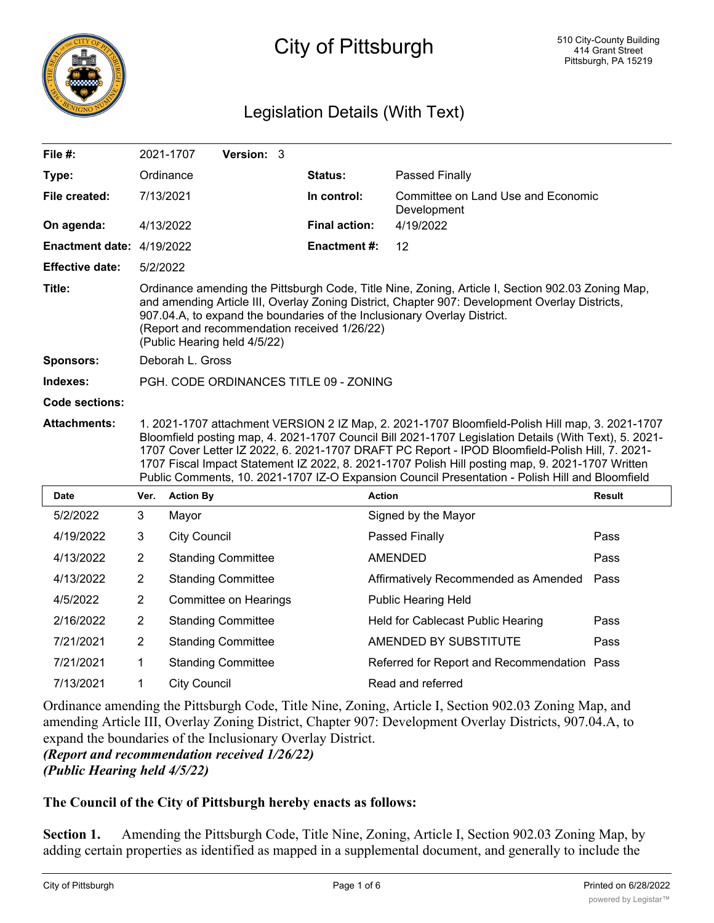

# City of Pittsburgh

# Legislation Details (With Text)

| File $#$ :                |                                                                                                                                                                                                                                                                                                                                                                                                                                                                                                                    | Version: 3<br>2021-1707   |                      |                                                   |        |
|---------------------------|--------------------------------------------------------------------------------------------------------------------------------------------------------------------------------------------------------------------------------------------------------------------------------------------------------------------------------------------------------------------------------------------------------------------------------------------------------------------------------------------------------------------|---------------------------|----------------------|---------------------------------------------------|--------|
| Type:                     |                                                                                                                                                                                                                                                                                                                                                                                                                                                                                                                    | Ordinance                 | Status:              | Passed Finally                                    |        |
| File created:             |                                                                                                                                                                                                                                                                                                                                                                                                                                                                                                                    | 7/13/2021                 | In control:          | Committee on Land Use and Economic<br>Development |        |
| On agenda:                |                                                                                                                                                                                                                                                                                                                                                                                                                                                                                                                    | 4/13/2022                 | <b>Final action:</b> | 4/19/2022                                         |        |
| Enactment date: 4/19/2022 |                                                                                                                                                                                                                                                                                                                                                                                                                                                                                                                    |                           | <b>Enactment #:</b>  | 12                                                |        |
| <b>Effective date:</b>    | 5/2/2022                                                                                                                                                                                                                                                                                                                                                                                                                                                                                                           |                           |                      |                                                   |        |
| Title:                    | Ordinance amending the Pittsburgh Code, Title Nine, Zoning, Article I, Section 902.03 Zoning Map,<br>and amending Article III, Overlay Zoning District, Chapter 907: Development Overlay Districts,<br>907.04.A, to expand the boundaries of the Inclusionary Overlay District.<br>(Report and recommendation received 1/26/22)<br>(Public Hearing held 4/5/22)                                                                                                                                                    |                           |                      |                                                   |        |
| <b>Sponsors:</b>          | Deborah L. Gross                                                                                                                                                                                                                                                                                                                                                                                                                                                                                                   |                           |                      |                                                   |        |
| Indexes:                  | PGH. CODE ORDINANCES TITLE 09 - ZONING                                                                                                                                                                                                                                                                                                                                                                                                                                                                             |                           |                      |                                                   |        |
| Code sections:            |                                                                                                                                                                                                                                                                                                                                                                                                                                                                                                                    |                           |                      |                                                   |        |
|                           | 1. 2021-1707 attachment VERSION 2 IZ Map, 2. 2021-1707 Bloomfield-Polish Hill map, 3. 2021-1707<br>Bloomfield posting map, 4. 2021-1707 Council Bill 2021-1707 Legislation Details (With Text), 5. 2021-<br>1707 Cover Letter IZ 2022, 6. 2021-1707 DRAFT PC Report - IPOD Bloomfield-Polish Hill, 7. 2021-<br>1707 Fiscal Impact Statement IZ 2022, 8. 2021-1707 Polish Hill posting map, 9. 2021-1707 Written<br>Public Comments, 10. 2021-1707 IZ-O Expansion Council Presentation - Polish Hill and Bloomfield |                           |                      |                                                   |        |
| <b>Attachments:</b>       |                                                                                                                                                                                                                                                                                                                                                                                                                                                                                                                    |                           |                      |                                                   |        |
| <b>Date</b>               | Ver.                                                                                                                                                                                                                                                                                                                                                                                                                                                                                                               | <b>Action By</b>          | <b>Action</b>        |                                                   | Result |
| 5/2/2022                  | 3                                                                                                                                                                                                                                                                                                                                                                                                                                                                                                                  | Mayor                     |                      | Signed by the Mayor                               |        |
| 4/19/2022                 | 3                                                                                                                                                                                                                                                                                                                                                                                                                                                                                                                  | <b>City Council</b>       |                      | Passed Finally                                    | Pass   |
| 4/13/2022                 | $\overline{2}$                                                                                                                                                                                                                                                                                                                                                                                                                                                                                                     | <b>Standing Committee</b> |                      | <b>AMENDED</b>                                    | Pass   |
| 4/13/2022                 | $\overline{2}$                                                                                                                                                                                                                                                                                                                                                                                                                                                                                                     | <b>Standing Committee</b> |                      | Affirmatively Recommended as Amended              | Pass   |
| 4/5/2022                  | $\overline{2}$                                                                                                                                                                                                                                                                                                                                                                                                                                                                                                     | Committee on Hearings     |                      | <b>Public Hearing Held</b>                        |        |
| 2/16/2022                 | $\overline{2}$                                                                                                                                                                                                                                                                                                                                                                                                                                                                                                     | <b>Standing Committee</b> |                      | Held for Cablecast Public Hearing                 | Pass   |
| 7/21/2021                 | $\overline{2}$                                                                                                                                                                                                                                                                                                                                                                                                                                                                                                     | <b>Standing Committee</b> |                      | AMENDED BY SUBSTITUTE                             | Pass   |
| 7/21/2021                 | 1                                                                                                                                                                                                                                                                                                                                                                                                                                                                                                                  | <b>Standing Committee</b> |                      | Referred for Report and Recommendation Pass       |        |

Ordinance amending the Pittsburgh Code, Title Nine, Zoning, Article I, Section 902.03 Zoning Map, and amending Article III, Overlay Zoning District, Chapter 907: Development Overlay Districts, 907.04.A, to expand the boundaries of the Inclusionary Overlay District.

*(Report and recommendation received 1/26/22) (Public Hearing held 4/5/22)*

# **The Council of the City of Pittsburgh hereby enacts as follows:**

**Section 1.** Amending the Pittsburgh Code, Title Nine, Zoning, Article I, Section 902.03 Zoning Map, by adding certain properties as identified as mapped in a supplemental document, and generally to include the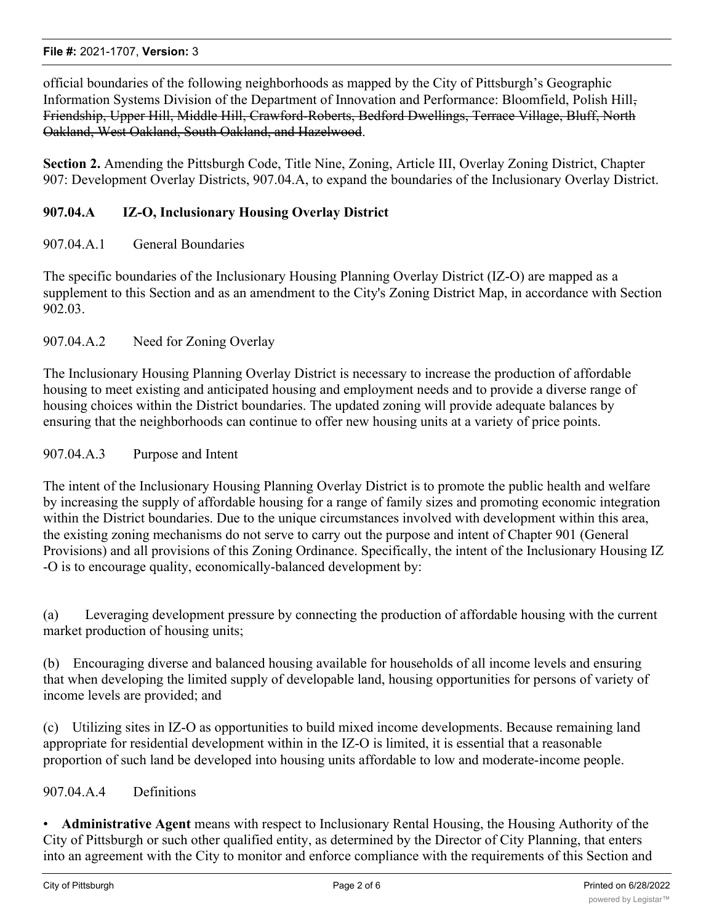#### **File #:** 2021-1707, **Version:** 3

official boundaries of the following neighborhoods as mapped by the City of Pittsburgh's Geographic Information Systems Division of the Department of Innovation and Performance: Bloomfield, Polish Hill, Friendship, Upper Hill, Middle Hill, Crawford-Roberts, Bedford Dwellings, Terrace Village, Bluff, North Oakland, West Oakland, South Oakland, and Hazelwood.

**Section 2.** Amending the Pittsburgh Code, Title Nine, Zoning, Article III, Overlay Zoning District, Chapter 907: Development Overlay Districts, 907.04.A, to expand the boundaries of the Inclusionary Overlay District.

# **907.04.A IZ-O, Inclusionary Housing Overlay District**

# 907.04.A.1 General Boundaries

The specific boundaries of the Inclusionary Housing Planning Overlay District (IZ-O) are mapped as a supplement to this Section and as an amendment to the City's Zoning District Map, in accordance with Section 902.03.

#### 907.04.A.2 Need for Zoning Overlay

The Inclusionary Housing Planning Overlay District is necessary to increase the production of affordable housing to meet existing and anticipated housing and employment needs and to provide a diverse range of housing choices within the District boundaries. The updated zoning will provide adequate balances by ensuring that the neighborhoods can continue to offer new housing units at a variety of price points.

### 907.04.A.3 Purpose and Intent

The intent of the Inclusionary Housing Planning Overlay District is to promote the public health and welfare by increasing the supply of affordable housing for a range of family sizes and promoting economic integration within the District boundaries. Due to the unique circumstances involved with development within this area, the existing zoning mechanisms do not serve to carry out the purpose and intent of Chapter 901 (General Provisions) and all provisions of this Zoning Ordinance. Specifically, the intent of the Inclusionary Housing IZ -O is to encourage quality, economically-balanced development by:

(a) Leveraging development pressure by connecting the production of affordable housing with the current market production of housing units;

(b) Encouraging diverse and balanced housing available for households of all income levels and ensuring that when developing the limited supply of developable land, housing opportunities for persons of variety of income levels are provided; and

(c) Utilizing sites in IZ-O as opportunities to build mixed income developments. Because remaining land appropriate for residential development within in the IZ-O is limited, it is essential that a reasonable proportion of such land be developed into housing units affordable to low and moderate-income people.

# 907.04.A.4 Definitions

• **Administrative Agent** means with respect to Inclusionary Rental Housing, the Housing Authority of the City of Pittsburgh or such other qualified entity, as determined by the Director of City Planning, that enters into an agreement with the City to monitor and enforce compliance with the requirements of this Section and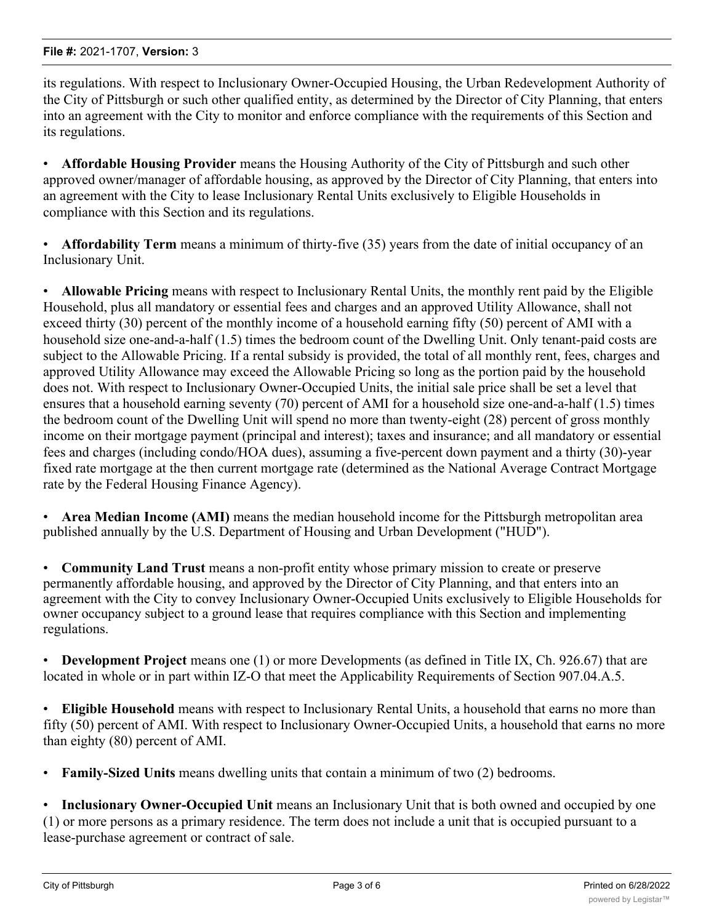its regulations. With respect to Inclusionary Owner-Occupied Housing, the Urban Redevelopment Authority of the City of Pittsburgh or such other qualified entity, as determined by the Director of City Planning, that enters into an agreement with the City to monitor and enforce compliance with the requirements of this Section and its regulations.

• **Affordable Housing Provider** means the Housing Authority of the City of Pittsburgh and such other approved owner/manager of affordable housing, as approved by the Director of City Planning, that enters into an agreement with the City to lease Inclusionary Rental Units exclusively to Eligible Households in compliance with this Section and its regulations.

• **Affordability Term** means a minimum of thirty-five (35) years from the date of initial occupancy of an Inclusionary Unit.

• **Allowable Pricing** means with respect to Inclusionary Rental Units, the monthly rent paid by the Eligible Household, plus all mandatory or essential fees and charges and an approved Utility Allowance, shall not exceed thirty (30) percent of the monthly income of a household earning fifty (50) percent of AMI with a household size one-and-a-half (1.5) times the bedroom count of the Dwelling Unit. Only tenant-paid costs are subject to the Allowable Pricing. If a rental subsidy is provided, the total of all monthly rent, fees, charges and approved Utility Allowance may exceed the Allowable Pricing so long as the portion paid by the household does not. With respect to Inclusionary Owner-Occupied Units, the initial sale price shall be set a level that ensures that a household earning seventy (70) percent of AMI for a household size one-and-a-half (1.5) times the bedroom count of the Dwelling Unit will spend no more than twenty-eight (28) percent of gross monthly income on their mortgage payment (principal and interest); taxes and insurance; and all mandatory or essential fees and charges (including condo/HOA dues), assuming a five-percent down payment and a thirty (30)-year fixed rate mortgage at the then current mortgage rate (determined as the National Average Contract Mortgage rate by the Federal Housing Finance Agency).

• **Area Median Income (AMI)** means the median household income for the Pittsburgh metropolitan area published annually by the U.S. Department of Housing and Urban Development ("HUD").

• **Community Land Trust** means a non-profit entity whose primary mission to create or preserve permanently affordable housing, and approved by the Director of City Planning, and that enters into an agreement with the City to convey Inclusionary Owner-Occupied Units exclusively to Eligible Households for owner occupancy subject to a ground lease that requires compliance with this Section and implementing regulations.

• **Development Project** means one (1) or more Developments (as defined in Title IX, Ch. 926.67) that are located in whole or in part within IZ-O that meet the Applicability Requirements of Section 907.04.A.5.

• **Eligible Household** means with respect to Inclusionary Rental Units, a household that earns no more than fifty (50) percent of AMI. With respect to Inclusionary Owner-Occupied Units, a household that earns no more than eighty (80) percent of AMI.

• **Family-Sized Units** means dwelling units that contain a minimum of two (2) bedrooms.

• **Inclusionary Owner-Occupied Unit** means an Inclusionary Unit that is both owned and occupied by one (1) or more persons as a primary residence. The term does not include a unit that is occupied pursuant to a lease-purchase agreement or contract of sale.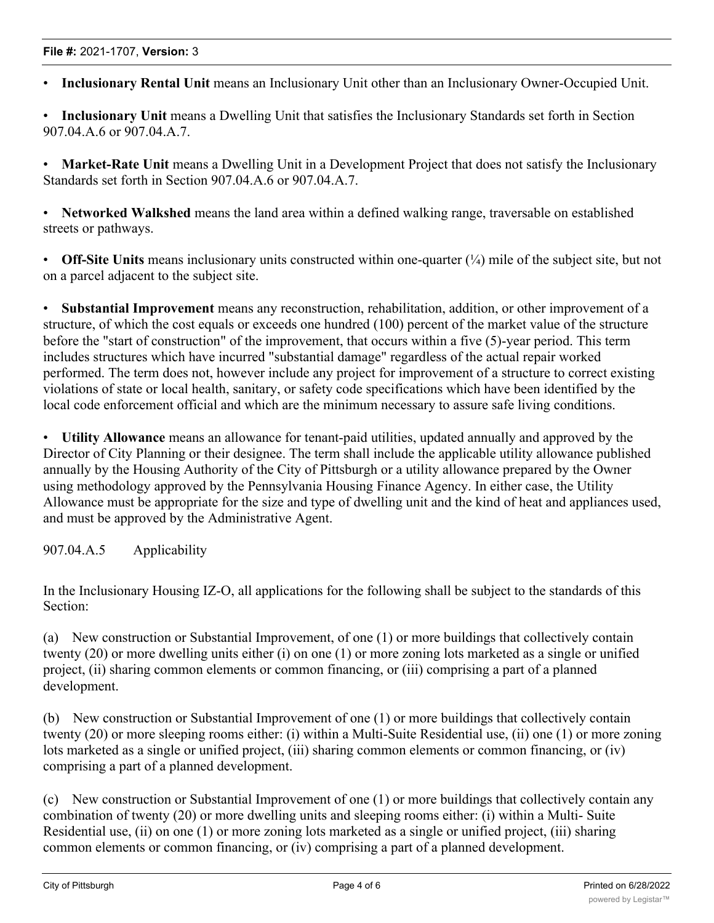• **Inclusionary Rental Unit** means an Inclusionary Unit other than an Inclusionary Owner-Occupied Unit.

• **Inclusionary Unit** means a Dwelling Unit that satisfies the Inclusionary Standards set forth in Section 907.04.A.6 or 907.04.A.7.

• **Market-Rate Unit** means a Dwelling Unit in a Development Project that does not satisfy the Inclusionary Standards set forth in Section 907.04.A.6 or 907.04.A.7.

• **Networked Walkshed** means the land area within a defined walking range, traversable on established streets or pathways.

• **Off-Site Units** means inclusionary units constructed within one-quarter ( $\frac{1}{4}$ ) mile of the subject site, but not on a parcel adjacent to the subject site.

• **Substantial Improvement** means any reconstruction, rehabilitation, addition, or other improvement of a structure, of which the cost equals or exceeds one hundred (100) percent of the market value of the structure before the "start of construction" of the improvement, that occurs within a five (5)-year period. This term includes structures which have incurred "substantial damage" regardless of the actual repair worked performed. The term does not, however include any project for improvement of a structure to correct existing violations of state or local health, sanitary, or safety code specifications which have been identified by the local code enforcement official and which are the minimum necessary to assure safe living conditions.

• **Utility Allowance** means an allowance for tenant-paid utilities, updated annually and approved by the Director of City Planning or their designee. The term shall include the applicable utility allowance published annually by the Housing Authority of the City of Pittsburgh or a utility allowance prepared by the Owner using methodology approved by the Pennsylvania Housing Finance Agency. In either case, the Utility Allowance must be appropriate for the size and type of dwelling unit and the kind of heat and appliances used, and must be approved by the Administrative Agent.

907.04.A.5 Applicability

In the Inclusionary Housing IZ-O, all applications for the following shall be subject to the standards of this Section:

(a) New construction or Substantial Improvement, of one (1) or more buildings that collectively contain twenty (20) or more dwelling units either (i) on one (1) or more zoning lots marketed as a single or unified project, (ii) sharing common elements or common financing, or (iii) comprising a part of a planned development.

(b) New construction or Substantial Improvement of one (1) or more buildings that collectively contain twenty (20) or more sleeping rooms either: (i) within a Multi-Suite Residential use, (ii) one (1) or more zoning lots marketed as a single or unified project, (iii) sharing common elements or common financing, or (iv) comprising a part of a planned development.

(c) New construction or Substantial Improvement of one (1) or more buildings that collectively contain any combination of twenty (20) or more dwelling units and sleeping rooms either: (i) within a Multi- Suite Residential use, (ii) on one (1) or more zoning lots marketed as a single or unified project, (iii) sharing common elements or common financing, or (iv) comprising a part of a planned development.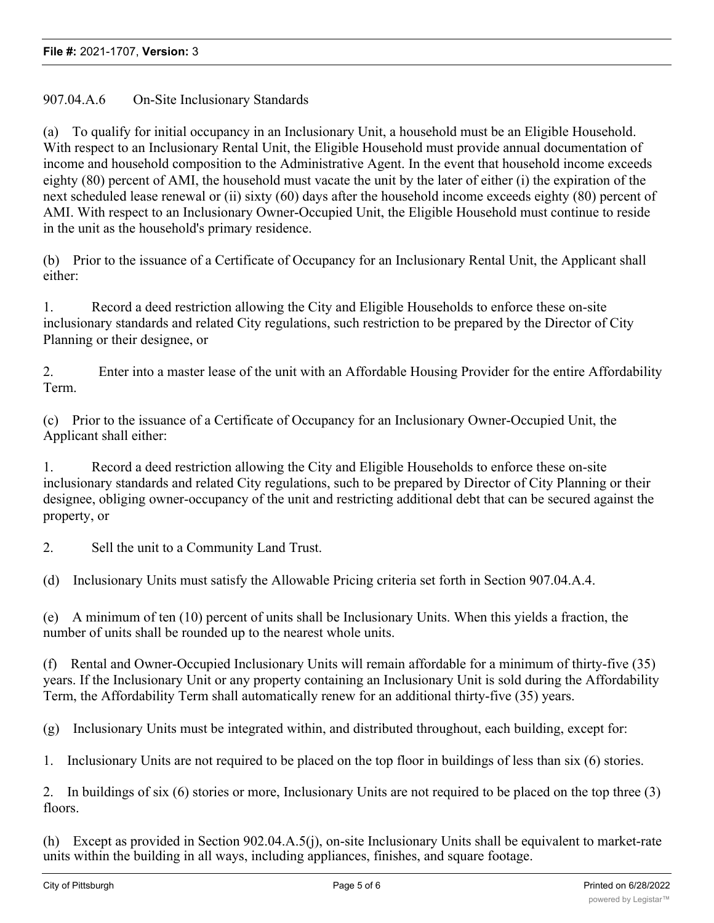907.04.A.6 On-Site Inclusionary Standards

(a) To qualify for initial occupancy in an Inclusionary Unit, a household must be an Eligible Household. With respect to an Inclusionary Rental Unit, the Eligible Household must provide annual documentation of income and household composition to the Administrative Agent. In the event that household income exceeds eighty (80) percent of AMI, the household must vacate the unit by the later of either (i) the expiration of the next scheduled lease renewal or (ii) sixty (60) days after the household income exceeds eighty (80) percent of AMI. With respect to an Inclusionary Owner-Occupied Unit, the Eligible Household must continue to reside in the unit as the household's primary residence.

(b) Prior to the issuance of a Certificate of Occupancy for an Inclusionary Rental Unit, the Applicant shall either:

1. Record a deed restriction allowing the City and Eligible Households to enforce these on-site inclusionary standards and related City regulations, such restriction to be prepared by the Director of City Planning or their designee, or

2. Enter into a master lease of the unit with an Affordable Housing Provider for the entire Affordability Term.

(c) Prior to the issuance of a Certificate of Occupancy for an Inclusionary Owner-Occupied Unit, the Applicant shall either:

1. Record a deed restriction allowing the City and Eligible Households to enforce these on-site inclusionary standards and related City regulations, such to be prepared by Director of City Planning or their designee, obliging owner-occupancy of the unit and restricting additional debt that can be secured against the property, or

2. Sell the unit to a Community Land Trust.

(d) Inclusionary Units must satisfy the Allowable Pricing criteria set forth in Section 907.04.A.4.

(e) A minimum of ten (10) percent of units shall be Inclusionary Units. When this yields a fraction, the number of units shall be rounded up to the nearest whole units.

(f) Rental and Owner-Occupied Inclusionary Units will remain affordable for a minimum of thirty-five (35) years. If the Inclusionary Unit or any property containing an Inclusionary Unit is sold during the Affordability Term, the Affordability Term shall automatically renew for an additional thirty-five (35) years.

(g) Inclusionary Units must be integrated within, and distributed throughout, each building, except for:

1. Inclusionary Units are not required to be placed on the top floor in buildings of less than six (6) stories.

2. In buildings of six (6) stories or more, Inclusionary Units are not required to be placed on the top three (3) floors.

(h) Except as provided in Section 902.04.A.5(j), on-site Inclusionary Units shall be equivalent to market-rate units within the building in all ways, including appliances, finishes, and square footage.